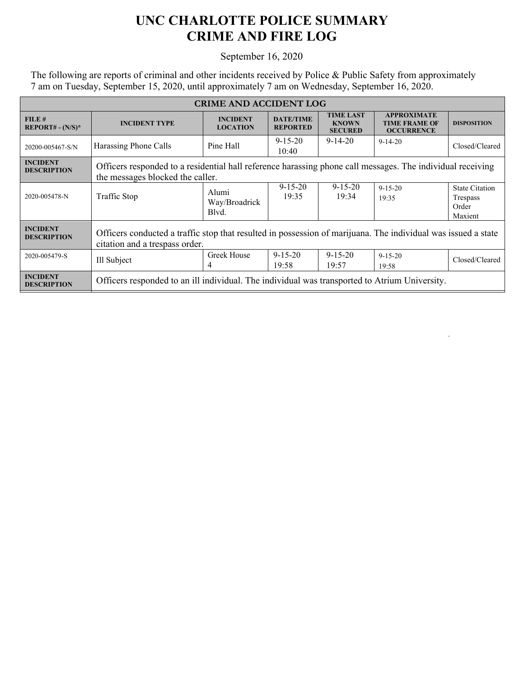## **UNC CHARLOTTE POLICE SUMMARY CRIME AND FIRE LOG**

## September 16, 2020

The following are reports of criminal and other incidents received by Police & Public Safety from approximately 7 am on Tuesday, September 15, 2020, until approximately 7 am on Wednesday, September 16, 2020.

| <b>CRIME AND ACCIDENT LOG</b>         |                                                                                                                                                 |                                    |                                     |                                                    |                                                                 |                                                       |  |
|---------------------------------------|-------------------------------------------------------------------------------------------------------------------------------------------------|------------------------------------|-------------------------------------|----------------------------------------------------|-----------------------------------------------------------------|-------------------------------------------------------|--|
| FILE#<br>$REPORT# - (N/S)*$           | <b>INCIDENT TYPE</b>                                                                                                                            | <b>INCIDENT</b><br><b>LOCATION</b> | <b>DATE/TIME</b><br><b>REPORTED</b> | <b>TIME LAST</b><br><b>KNOWN</b><br><b>SECURED</b> | <b>APPROXIMATE</b><br><b>TIME FRAME OF</b><br><b>OCCURRENCE</b> | <b>DISPOSITION</b>                                    |  |
| 20200-005467-S/N                      | Harassing Phone Calls                                                                                                                           | Pine Hall                          | $9 - 15 - 20$<br>10:40              | $9 - 14 - 20$                                      | $9-14-20$                                                       | Closed/Cleared                                        |  |
| <b>INCIDENT</b><br><b>DESCRIPTION</b> | Officers responded to a residential hall reference harassing phone call messages. The individual receiving<br>the messages blocked the caller.  |                                    |                                     |                                                    |                                                                 |                                                       |  |
| 2020-005478-N                         | Traffic Stop                                                                                                                                    | Alumi<br>Way/Broadrick<br>Blvd.    | $9 - 15 - 20$<br>19:35              | $9 - 15 - 20$<br>19:34                             | $9 - 15 - 20$<br>19:35                                          | <b>State Citation</b><br>Trespass<br>Order<br>Maxient |  |
| <b>INCIDENT</b><br><b>DESCRIPTION</b> | Officers conducted a traffic stop that resulted in possession of marijuana. The individual was issued a state<br>citation and a trespass order. |                                    |                                     |                                                    |                                                                 |                                                       |  |
| 2020-005479-S                         | Ill Subject                                                                                                                                     | Greek House<br>4                   | $9 - 15 - 20$<br>19:58              | $9 - 15 - 20$<br>19:57                             | $9 - 15 - 20$<br>19:58                                          | Closed/Cleared                                        |  |
| <b>INCIDENT</b><br><b>DESCRIPTION</b> | Officers responded to an ill individual. The individual was transported to Atrium University.                                                   |                                    |                                     |                                                    |                                                                 |                                                       |  |